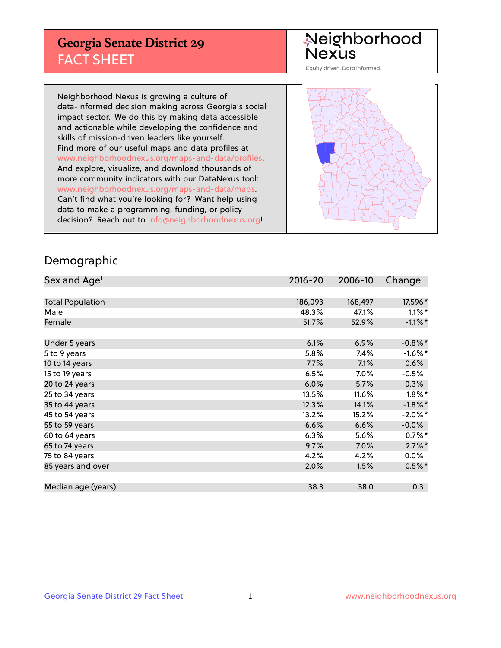## **Georgia Senate District 29** FACT SHEET

# Neighborhood<br>Nexus

Equity driven. Data informed.

Neighborhood Nexus is growing a culture of data-informed decision making across Georgia's social impact sector. We do this by making data accessible and actionable while developing the confidence and skills of mission-driven leaders like yourself. Find more of our useful maps and data profiles at www.neighborhoodnexus.org/maps-and-data/profiles. And explore, visualize, and download thousands of more community indicators with our DataNexus tool: www.neighborhoodnexus.org/maps-and-data/maps. Can't find what you're looking for? Want help using data to make a programming, funding, or policy decision? Reach out to [info@neighborhoodnexus.org!](mailto:info@neighborhoodnexus.org)



#### Demographic

| Sex and Age <sup>1</sup> | $2016 - 20$ | 2006-10 | Change     |
|--------------------------|-------------|---------|------------|
|                          |             |         |            |
| <b>Total Population</b>  | 186,093     | 168,497 | 17,596*    |
| Male                     | 48.3%       | 47.1%   | $1.1\%$ *  |
| Female                   | 51.7%       | 52.9%   | $-1.1\%$ * |
|                          |             |         |            |
| Under 5 years            | 6.1%        | 6.9%    | $-0.8\%$ * |
| 5 to 9 years             | 5.8%        | 7.4%    | $-1.6%$ *  |
| 10 to 14 years           | 7.7%        | 7.1%    | 0.6%       |
| 15 to 19 years           | 6.5%        | 7.0%    | $-0.5%$    |
| 20 to 24 years           | 6.0%        | 5.7%    | 0.3%       |
| 25 to 34 years           | 13.5%       | 11.6%   | $1.8\%$ *  |
| 35 to 44 years           | 12.3%       | 14.1%   | $-1.8\%$ * |
| 45 to 54 years           | 13.2%       | 15.2%   | $-2.0\%$ * |
| 55 to 59 years           | 6.6%        | 6.6%    | $-0.0%$    |
| 60 to 64 years           | 6.3%        | 5.6%    | $0.7\%$ *  |
| 65 to 74 years           | 9.7%        | $7.0\%$ | $2.7\%$ *  |
| 75 to 84 years           | 4.2%        | 4.2%    | $0.0\%$    |
| 85 years and over        | 2.0%        | 1.5%    | $0.5%$ *   |
|                          |             |         |            |
| Median age (years)       | 38.3        | 38.0    | 0.3        |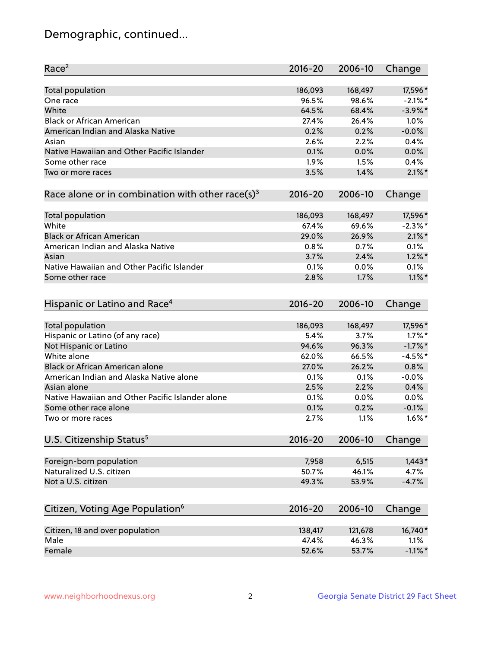## Demographic, continued...

| Race <sup>2</sup>                                            | $2016 - 20$ | 2006-10 | Change     |
|--------------------------------------------------------------|-------------|---------|------------|
| <b>Total population</b>                                      | 186,093     | 168,497 | 17,596 *   |
| One race                                                     | 96.5%       | 98.6%   | $-2.1\%$ * |
| White                                                        | 64.5%       | 68.4%   | $-3.9\%$ * |
| <b>Black or African American</b>                             | 27.4%       | 26.4%   | 1.0%       |
| American Indian and Alaska Native                            | 0.2%        | 0.2%    | $-0.0%$    |
| Asian                                                        | 2.6%        | 2.2%    | 0.4%       |
| Native Hawaiian and Other Pacific Islander                   | 0.1%        | 0.0%    | 0.0%       |
| Some other race                                              | 1.9%        | 1.5%    | 0.4%       |
| Two or more races                                            | 3.5%        | 1.4%    | $2.1\%$ *  |
| Race alone or in combination with other race(s) <sup>3</sup> | $2016 - 20$ | 2006-10 | Change     |
| Total population                                             | 186,093     | 168,497 | 17,596*    |
| White                                                        | 67.4%       | 69.6%   | $-2.3\%$ * |
| <b>Black or African American</b>                             | 29.0%       | 26.9%   | $2.1\%$ *  |
| American Indian and Alaska Native                            | 0.8%        | 0.7%    | 0.1%       |
| Asian                                                        | 3.7%        | 2.4%    | $1.2\%$ *  |
| Native Hawaiian and Other Pacific Islander                   |             |         |            |
|                                                              | 0.1%        | 0.0%    | 0.1%       |
| Some other race                                              | 2.8%        | 1.7%    | $1.1\%$ *  |
| Hispanic or Latino and Race <sup>4</sup>                     | $2016 - 20$ | 2006-10 | Change     |
| Total population                                             | 186,093     | 168,497 | 17,596*    |
| Hispanic or Latino (of any race)                             | 5.4%        | 3.7%    | $1.7\%$ *  |
| Not Hispanic or Latino                                       | 94.6%       | 96.3%   | $-1.7\%$ * |
| White alone                                                  | 62.0%       | 66.5%   | $-4.5%$ *  |
| Black or African American alone                              | 27.0%       | 26.2%   | 0.8%       |
| American Indian and Alaska Native alone                      | 0.1%        | 0.1%    | $-0.0%$    |
| Asian alone                                                  | 2.5%        | 2.2%    | 0.4%       |
| Native Hawaiian and Other Pacific Islander alone             | 0.1%        | 0.0%    | 0.0%       |
| Some other race alone                                        | 0.1%        | 0.2%    | $-0.1%$    |
| Two or more races                                            | 2.7%        | 1.1%    | $1.6\%$ *  |
| U.S. Citizenship Status <sup>5</sup>                         | $2016 - 20$ | 2006-10 | Change     |
|                                                              |             |         |            |
| Foreign-born population                                      | 7,958       | 6,515   | $1,443*$   |
| Naturalized U.S. citizen                                     | 50.7%       | 46.1%   | 4.7%       |
| Not a U.S. citizen                                           | 49.3%       | 53.9%   | $-4.7%$    |
|                                                              |             |         |            |
| Citizen, Voting Age Population <sup>6</sup>                  | $2016 - 20$ | 2006-10 | Change     |
| Citizen, 18 and over population                              | 138,417     | 121,678 | 16,740*    |
| Male                                                         | 47.4%       | 46.3%   | 1.1%       |
| Female                                                       | 52.6%       | 53.7%   | $-1.1\%$ * |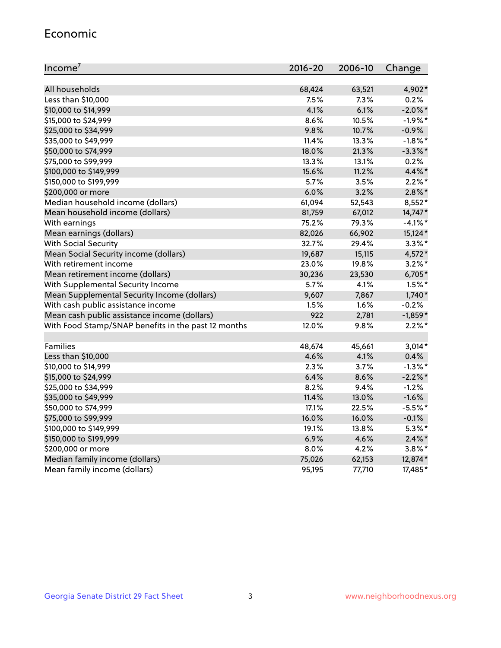#### Economic

| Income <sup>7</sup>                                 | $2016 - 20$ | 2006-10 | Change     |
|-----------------------------------------------------|-------------|---------|------------|
|                                                     |             |         |            |
| All households                                      | 68,424      | 63,521  | 4,902*     |
| Less than \$10,000                                  | 7.5%        | 7.3%    | 0.2%       |
| \$10,000 to \$14,999                                | 4.1%        | 6.1%    | $-2.0\%$ * |
| \$15,000 to \$24,999                                | 8.6%        | 10.5%   | $-1.9%$ *  |
| \$25,000 to \$34,999                                | 9.8%        | 10.7%   | $-0.9%$    |
| \$35,000 to \$49,999                                | 11.4%       | 13.3%   | $-1.8\%$ * |
| \$50,000 to \$74,999                                | 18.0%       | 21.3%   | $-3.3\%$ * |
| \$75,000 to \$99,999                                | 13.3%       | 13.1%   | 0.2%       |
| \$100,000 to \$149,999                              | 15.6%       | 11.2%   | 4.4%*      |
| \$150,000 to \$199,999                              | 5.7%        | 3.5%    | $2.2\%$ *  |
| \$200,000 or more                                   | 6.0%        | 3.2%    | $2.8\%$ *  |
| Median household income (dollars)                   | 61,094      | 52,543  | 8,552*     |
| Mean household income (dollars)                     | 81,759      | 67,012  | 14,747*    |
| With earnings                                       | 75.2%       | 79.3%   | $-4.1\%$ * |
| Mean earnings (dollars)                             | 82,026      | 66,902  | 15,124*    |
| <b>With Social Security</b>                         | 32.7%       | 29.4%   | $3.3\%$ *  |
| Mean Social Security income (dollars)               | 19,687      | 15,115  | 4,572*     |
| With retirement income                              | 23.0%       | 19.8%   | $3.2\%$ *  |
| Mean retirement income (dollars)                    | 30,236      | 23,530  | 6,705*     |
| With Supplemental Security Income                   | 5.7%        | 4.1%    | $1.5\%$ *  |
| Mean Supplemental Security Income (dollars)         | 9,607       | 7,867   | $1,740*$   |
| With cash public assistance income                  | 1.5%        | 1.6%    | $-0.2%$    |
| Mean cash public assistance income (dollars)        | 922         | 2,781   | $-1,859*$  |
| With Food Stamp/SNAP benefits in the past 12 months | 12.0%       | 9.8%    | $2.2\%$ *  |
|                                                     |             |         |            |
| Families                                            | 48,674      | 45,661  | $3,014*$   |
| Less than \$10,000                                  | 4.6%        | 4.1%    | 0.4%       |
| \$10,000 to \$14,999                                | 2.3%        | 3.7%    | $-1.3%$ *  |
| \$15,000 to \$24,999                                | 6.4%        | 8.6%    | $-2.2%$ *  |
| \$25,000 to \$34,999                                | 8.2%        | 9.4%    | $-1.2%$    |
| \$35,000 to \$49,999                                | 11.4%       | 13.0%   | $-1.6%$    |
| \$50,000 to \$74,999                                | 17.1%       | 22.5%   | $-5.5%$ *  |
| \$75,000 to \$99,999                                | 16.0%       | 16.0%   | $-0.1%$    |
| \$100,000 to \$149,999                              | 19.1%       | 13.8%   | $5.3\%$ *  |
| \$150,000 to \$199,999                              | 6.9%        | 4.6%    | $2.4\%$ *  |
| \$200,000 or more                                   | 8.0%        | 4.2%    | $3.8\%$ *  |
| Median family income (dollars)                      | 75,026      | 62,153  | 12,874*    |
| Mean family income (dollars)                        | 95,195      | 77,710  | 17,485*    |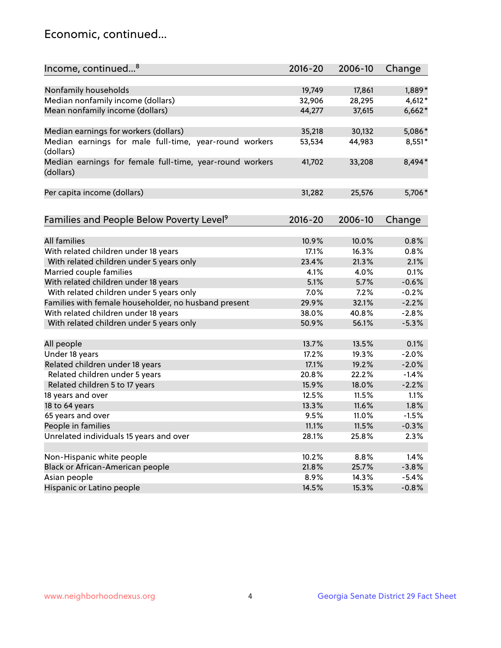## Economic, continued...

| Income, continued <sup>8</sup>                                        | $2016 - 20$ | 2006-10 | Change   |
|-----------------------------------------------------------------------|-------------|---------|----------|
|                                                                       |             |         |          |
| Nonfamily households                                                  | 19,749      | 17,861  | 1,889*   |
| Median nonfamily income (dollars)                                     | 32,906      | 28,295  | $4,612*$ |
| Mean nonfamily income (dollars)                                       | 44,277      | 37,615  | $6,662*$ |
| Median earnings for workers (dollars)                                 | 35,218      | 30,132  | 5,086*   |
| Median earnings for male full-time, year-round workers                | 53,534      | 44,983  | 8,551*   |
| (dollars)                                                             |             |         |          |
| Median earnings for female full-time, year-round workers<br>(dollars) | 41,702      | 33,208  | 8,494*   |
| Per capita income (dollars)                                           | 31,282      | 25,576  | 5,706*   |
|                                                                       |             |         |          |
| Families and People Below Poverty Level <sup>9</sup>                  | 2016-20     | 2006-10 | Change   |
|                                                                       |             |         |          |
| <b>All families</b>                                                   | 10.9%       | 10.0%   | 0.8%     |
| With related children under 18 years                                  | 17.1%       | 16.3%   | 0.8%     |
| With related children under 5 years only                              | 23.4%       | 21.3%   | 2.1%     |
| Married couple families                                               | 4.1%        | 4.0%    | 0.1%     |
| With related children under 18 years                                  | 5.1%        | 5.7%    | $-0.6%$  |
| With related children under 5 years only                              | 7.0%        | 7.2%    | $-0.2%$  |
| Families with female householder, no husband present                  | 29.9%       | 32.1%   | $-2.2%$  |
| With related children under 18 years                                  | 38.0%       | 40.8%   | $-2.8%$  |
| With related children under 5 years only                              | 50.9%       | 56.1%   | $-5.3%$  |
| All people                                                            | 13.7%       | 13.5%   | 0.1%     |
| Under 18 years                                                        | 17.2%       | 19.3%   | $-2.0%$  |
|                                                                       | 17.1%       | 19.2%   | $-2.0%$  |
| Related children under 18 years                                       | 20.8%       | 22.2%   |          |
| Related children under 5 years                                        |             |         | $-1.4%$  |
| Related children 5 to 17 years                                        | 15.9%       | 18.0%   | $-2.2%$  |
| 18 years and over                                                     | 12.5%       | 11.5%   | 1.1%     |
| 18 to 64 years                                                        | 13.3%       | 11.6%   | 1.8%     |
| 65 years and over                                                     | 9.5%        | 11.0%   | $-1.5%$  |
| People in families                                                    | 11.1%       | 11.5%   | $-0.3%$  |
| Unrelated individuals 15 years and over                               | 28.1%       | 25.8%   | 2.3%     |
|                                                                       |             |         |          |
| Non-Hispanic white people                                             | 10.2%       | 8.8%    | 1.4%     |
| Black or African-American people                                      | 21.8%       | 25.7%   | $-3.8%$  |
| Asian people                                                          | 8.9%        | 14.3%   | $-5.4%$  |
| Hispanic or Latino people                                             | 14.5%       | 15.3%   | $-0.8%$  |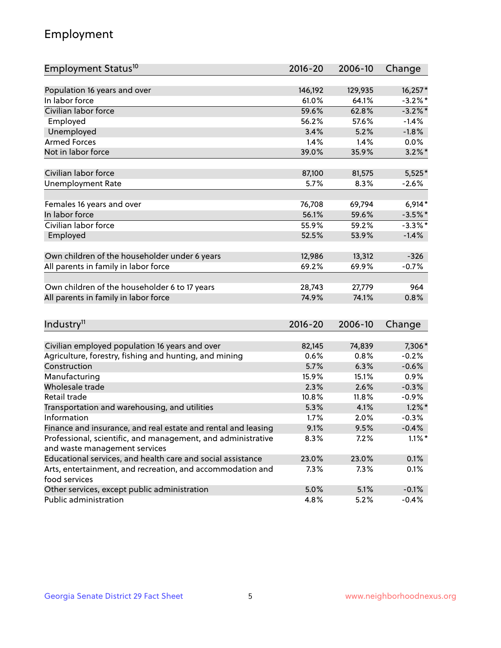## Employment

| Employment Status <sup>10</sup>                                                               | $2016 - 20$ | 2006-10 | Change     |
|-----------------------------------------------------------------------------------------------|-------------|---------|------------|
|                                                                                               |             |         |            |
| Population 16 years and over                                                                  | 146,192     | 129,935 | 16,257*    |
| In labor force                                                                                | 61.0%       | 64.1%   | $-3.2%$ *  |
| Civilian labor force                                                                          | 59.6%       | 62.8%   | $-3.2\%$ * |
| Employed                                                                                      | 56.2%       | 57.6%   | $-1.4%$    |
| Unemployed                                                                                    | 3.4%        | 5.2%    | $-1.8%$    |
| <b>Armed Forces</b>                                                                           | 1.4%        | 1.4%    | $0.0\%$    |
| Not in labor force                                                                            | 39.0%       | 35.9%   | $3.2\%$ *  |
| Civilian labor force                                                                          | 87,100      | 81,575  | $5,525*$   |
| <b>Unemployment Rate</b>                                                                      | 5.7%        | 8.3%    | $-2.6%$    |
|                                                                                               |             |         |            |
| Females 16 years and over                                                                     | 76,708      | 69,794  | $6,914*$   |
| In labor force                                                                                | 56.1%       | 59.6%   | $-3.5%$ *  |
| Civilian labor force                                                                          | 55.9%       | 59.2%   | $-3.3\%$ * |
| Employed                                                                                      | 52.5%       | 53.9%   | $-1.4%$    |
| Own children of the householder under 6 years                                                 | 12,986      | 13,312  | $-326$     |
|                                                                                               | 69.2%       | 69.9%   | $-0.7%$    |
| All parents in family in labor force                                                          |             |         |            |
| Own children of the householder 6 to 17 years                                                 | 28,743      | 27,779  | 964        |
| All parents in family in labor force                                                          | 74.9%       | 74.1%   | 0.8%       |
|                                                                                               |             |         |            |
| Industry <sup>11</sup>                                                                        | $2016 - 20$ | 2006-10 | Change     |
|                                                                                               |             |         |            |
| Civilian employed population 16 years and over                                                | 82,145      | 74,839  | 7,306*     |
| Agriculture, forestry, fishing and hunting, and mining                                        | 0.6%        | 0.8%    | $-0.2%$    |
| Construction                                                                                  | 5.7%        | 6.3%    | $-0.6%$    |
| Manufacturing                                                                                 | 15.9%       | 15.1%   | 0.9%       |
| Wholesale trade                                                                               | 2.3%        | 2.6%    | $-0.3%$    |
| Retail trade                                                                                  | 10.8%       | 11.8%   | $-0.9%$    |
| Transportation and warehousing, and utilities                                                 | 5.3%        | 4.1%    | $1.2\%$ *  |
| Information                                                                                   | 1.7%        | 2.0%    | $-0.3%$    |
| Finance and insurance, and real estate and rental and leasing                                 | 9.1%        | 9.5%    | $-0.4%$    |
| Professional, scientific, and management, and administrative<br>and waste management services | $8.3\%$     | $7.2\%$ | $1.1\%$ *  |
| Educational services, and health care and social assistance                                   | 23.0%       | 23.0%   | 0.1%       |
| Arts, entertainment, and recreation, and accommodation and                                    | 7.3%        | 7.3%    | 0.1%       |
| food services                                                                                 |             |         |            |
| Other services, except public administration                                                  | 5.0%        | 5.1%    | $-0.1%$    |
| Public administration                                                                         | 4.8%        | 5.2%    | $-0.4%$    |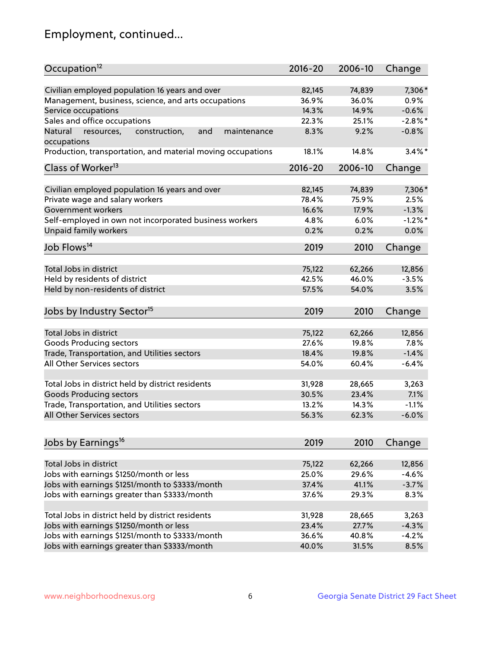## Employment, continued...

| Occupation <sup>12</sup>                                    | $2016 - 20$ | 2006-10 | Change     |
|-------------------------------------------------------------|-------------|---------|------------|
| Civilian employed population 16 years and over              | 82,145      | 74,839  | 7,306*     |
| Management, business, science, and arts occupations         | 36.9%       | 36.0%   | 0.9%       |
| Service occupations                                         | 14.3%       | 14.9%   | $-0.6%$    |
| Sales and office occupations                                | 22.3%       | 25.1%   | $-2.8\%$ * |
| Natural<br>and<br>maintenance                               | 8.3%        | 9.2%    | $-0.8%$    |
| resources,<br>construction,<br>occupations                  |             |         |            |
| Production, transportation, and material moving occupations | 18.1%       | 14.8%   | $3.4\%$ *  |
| Class of Worker <sup>13</sup>                               | $2016 - 20$ | 2006-10 | Change     |
| Civilian employed population 16 years and over              | 82,145      | 74,839  | 7,306*     |
| Private wage and salary workers                             | 78.4%       | 75.9%   | 2.5%       |
| Government workers                                          | 16.6%       | 17.9%   | $-1.3%$    |
| Self-employed in own not incorporated business workers      | 4.8%        | 6.0%    | $-1.2%$ *  |
| Unpaid family workers                                       | 0.2%        | 0.2%    | 0.0%       |
| Job Flows <sup>14</sup>                                     | 2019        | 2010    | Change     |
|                                                             |             |         |            |
| Total Jobs in district                                      | 75,122      | 62,266  | 12,856     |
| Held by residents of district                               | 42.5%       | 46.0%   | $-3.5%$    |
| Held by non-residents of district                           | 57.5%       | 54.0%   | 3.5%       |
| Jobs by Industry Sector <sup>15</sup>                       | 2019        | 2010    | Change     |
| Total Jobs in district                                      | 75,122      | 62,266  | 12,856     |
| Goods Producing sectors                                     | 27.6%       | 19.8%   | 7.8%       |
| Trade, Transportation, and Utilities sectors                | 18.4%       | 19.8%   | $-1.4%$    |
| All Other Services sectors                                  | 54.0%       | 60.4%   | $-6.4%$    |
|                                                             |             |         |            |
| Total Jobs in district held by district residents           | 31,928      | 28,665  | 3,263      |
| <b>Goods Producing sectors</b>                              | 30.5%       | 23.4%   | 7.1%       |
| Trade, Transportation, and Utilities sectors                | 13.2%       | 14.3%   | $-1.1%$    |
| All Other Services sectors                                  | 56.3%       | 62.3%   | $-6.0%$    |
|                                                             |             |         |            |
| Jobs by Earnings <sup>16</sup>                              | 2019        | 2010    | Change     |
| Total Jobs in district                                      | 75,122      | 62,266  | 12,856     |
| Jobs with earnings \$1250/month or less                     | 25.0%       | 29.6%   | $-4.6%$    |
| Jobs with earnings \$1251/month to \$3333/month             | 37.4%       | 41.1%   | $-3.7%$    |
| Jobs with earnings greater than \$3333/month                | 37.6%       | 29.3%   | 8.3%       |
|                                                             |             |         |            |
| Total Jobs in district held by district residents           | 31,928      | 28,665  | 3,263      |
| Jobs with earnings \$1250/month or less                     | 23.4%       | 27.7%   | $-4.3%$    |
| Jobs with earnings \$1251/month to \$3333/month             | 36.6%       | 40.8%   | $-4.2%$    |
| Jobs with earnings greater than \$3333/month                | 40.0%       | 31.5%   | 8.5%       |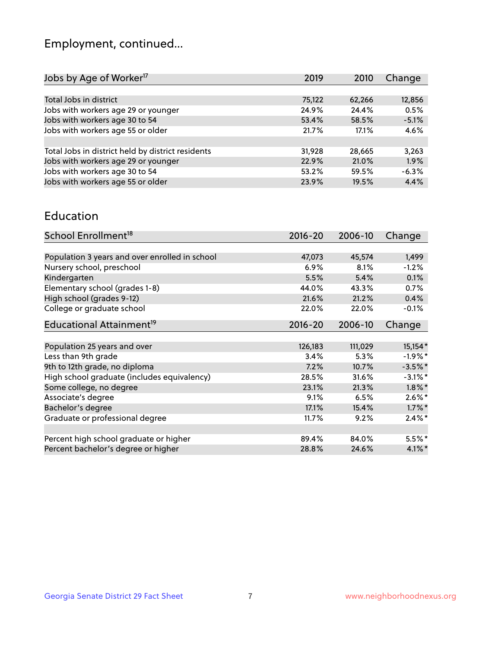## Employment, continued...

| 2019   | 2010  | Change                                      |
|--------|-------|---------------------------------------------|
|        |       |                                             |
| 75,122 |       | 12,856                                      |
| 24.9%  |       | 0.5%                                        |
| 53.4%  |       | $-5.1%$                                     |
| 21.7%  | 17.1% | 4.6%                                        |
|        |       |                                             |
| 31,928 |       | 3,263                                       |
| 22.9%  | 21.0% | 1.9%                                        |
| 53.2%  |       | $-6.3%$                                     |
| 23.9%  | 19.5% | 4.4%                                        |
|        |       | 62,266<br>24.4%<br>58.5%<br>28,665<br>59.5% |

#### Education

| School Enrollment <sup>18</sup>                | $2016 - 20$ | 2006-10 | Change     |
|------------------------------------------------|-------------|---------|------------|
|                                                |             |         |            |
| Population 3 years and over enrolled in school | 47,073      | 45,574  | 1,499      |
| Nursery school, preschool                      | 6.9%        | 8.1%    | $-1.2%$    |
| Kindergarten                                   | 5.5%        | 5.4%    | 0.1%       |
| Elementary school (grades 1-8)                 | 44.0%       | 43.3%   | 0.7%       |
| High school (grades 9-12)                      | 21.6%       | 21.2%   | 0.4%       |
| College or graduate school                     | 22.0%       | 22.0%   | $-0.1%$    |
| Educational Attainment <sup>19</sup>           | $2016 - 20$ | 2006-10 | Change     |
|                                                |             |         |            |
| Population 25 years and over                   | 126,183     | 111,029 | 15,154*    |
| Less than 9th grade                            | 3.4%        | 5.3%    | $-1.9\%$ * |
| 9th to 12th grade, no diploma                  | 7.2%        | 10.7%   | $-3.5%$ *  |
| High school graduate (includes equivalency)    | 28.5%       | 31.6%   | $-3.1\%$ * |
| Some college, no degree                        | 23.1%       | 21.3%   | $1.8\%$ *  |
| Associate's degree                             | 9.1%        | 6.5%    | $2.6\%$ *  |
| Bachelor's degree                              | 17.1%       | 15.4%   | $1.7\%$ *  |
| Graduate or professional degree                | 11.7%       | 9.2%    | $2.4\%$ *  |
|                                                |             |         |            |
| Percent high school graduate or higher         | 89.4%       | 84.0%   | $5.5%$ *   |
| Percent bachelor's degree or higher            | 28.8%       | 24.6%   | $4.1\%$ *  |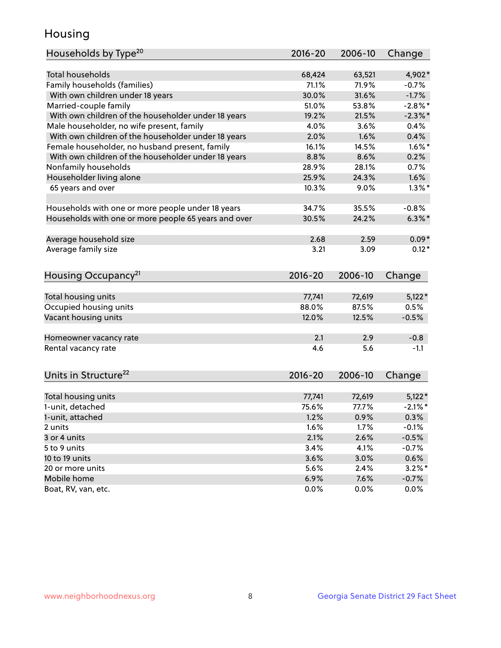## Housing

| Households by Type <sup>20</sup>                     | 2016-20     | 2006-10 | Change     |
|------------------------------------------------------|-------------|---------|------------|
|                                                      |             |         |            |
| Total households                                     | 68,424      | 63,521  | 4,902*     |
| Family households (families)                         | 71.1%       | 71.9%   | $-0.7%$    |
| With own children under 18 years                     | 30.0%       | 31.6%   | $-1.7%$    |
| Married-couple family                                | 51.0%       | 53.8%   | $-2.8\%$ * |
| With own children of the householder under 18 years  | 19.2%       | 21.5%   | $-2.3\%$ * |
| Male householder, no wife present, family            | 4.0%        | 3.6%    | 0.4%       |
| With own children of the householder under 18 years  | 2.0%        | 1.6%    | 0.4%       |
| Female householder, no husband present, family       | 16.1%       | 14.5%   | $1.6\%$ *  |
| With own children of the householder under 18 years  | 8.8%        | 8.6%    | 0.2%       |
| Nonfamily households                                 | 28.9%       | 28.1%   | 0.7%       |
| Householder living alone                             | 25.9%       | 24.3%   | 1.6%       |
| 65 years and over                                    | 10.3%       | 9.0%    | $1.3\%$ *  |
| Households with one or more people under 18 years    | 34.7%       | 35.5%   | $-0.8%$    |
| Households with one or more people 65 years and over | 30.5%       | 24.2%   | $6.3\%$ *  |
| Average household size                               | 2.68        | 2.59    | $0.09*$    |
| Average family size                                  | 3.21        | 3.09    | $0.12*$    |
|                                                      |             |         |            |
| Housing Occupancy <sup>21</sup>                      | $2016 - 20$ | 2006-10 | Change     |
| Total housing units                                  | 77,741      | 72,619  | $5,122*$   |
| Occupied housing units                               | 88.0%       | 87.5%   | 0.5%       |
| Vacant housing units                                 | 12.0%       | 12.5%   | $-0.5%$    |
|                                                      |             |         |            |
| Homeowner vacancy rate                               | 2.1         | 2.9     | $-0.8$     |
| Rental vacancy rate                                  | 4.6         | 5.6     | $-1.1$     |
| Units in Structure <sup>22</sup>                     | $2016 - 20$ | 2006-10 | Change     |
| Total housing units                                  | 77,741      | 72,619  | $5,122*$   |
| 1-unit, detached                                     | 75.6%       | 77.7%   | $-2.1\%$ * |
| 1-unit, attached                                     | 1.2%        | 0.9%    | 0.3%       |
| 2 units                                              | 1.6%        | 1.7%    | $-0.1%$    |
| 3 or 4 units                                         | 2.1%        | 2.6%    | $-0.5%$    |
| 5 to 9 units                                         | 3.4%        | 4.1%    | $-0.7%$    |
|                                                      |             |         |            |
| 10 to 19 units                                       | 3.6%        | 3.0%    | 0.6%       |
| 20 or more units                                     | 5.6%        | 2.4%    | $3.2\%$ *  |
| Mobile home                                          | 6.9%        | 7.6%    | $-0.7%$    |
| Boat, RV, van, etc.                                  | 0.0%        | $0.0\%$ | 0.0%       |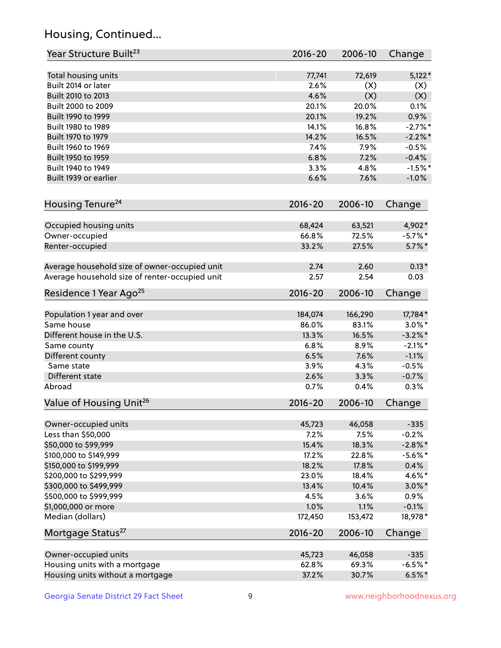## Housing, Continued...

| Year Structure Built <sup>23</sup>             | 2016-20     | 2006-10 | Change     |
|------------------------------------------------|-------------|---------|------------|
| Total housing units                            | 77,741      | 72,619  | $5,122*$   |
| Built 2014 or later                            | 2.6%        | (X)     | (X)        |
| Built 2010 to 2013                             | 4.6%        | (X)     | (X)        |
| Built 2000 to 2009                             | 20.1%       | 20.0%   | 0.1%       |
| Built 1990 to 1999                             | 20.1%       | 19.2%   | 0.9%       |
| Built 1980 to 1989                             | 14.1%       | 16.8%   | $-2.7%$ *  |
| Built 1970 to 1979                             | 14.2%       | 16.5%   | $-2.2\%$ * |
| Built 1960 to 1969                             | 7.4%        | 7.9%    | $-0.5%$    |
| Built 1950 to 1959                             | 6.8%        | 7.2%    | $-0.4%$    |
| Built 1940 to 1949                             | 3.3%        | 4.8%    | $-1.5%$ *  |
| Built 1939 or earlier                          | 6.6%        | 7.6%    | $-1.0%$    |
| Housing Tenure <sup>24</sup>                   | $2016 - 20$ | 2006-10 | Change     |
| Occupied housing units                         | 68,424      | 63,521  | 4,902*     |
| Owner-occupied                                 | 66.8%       | 72.5%   | $-5.7\%$ * |
| Renter-occupied                                | 33.2%       | 27.5%   | $5.7\%$ *  |
| Average household size of owner-occupied unit  | 2.74        | 2.60    | $0.13*$    |
| Average household size of renter-occupied unit | 2.57        | 2.54    | 0.03       |
| Residence 1 Year Ago <sup>25</sup>             | $2016 - 20$ | 2006-10 | Change     |
| Population 1 year and over                     | 184,074     | 166,290 | 17,784*    |
| Same house                                     | 86.0%       | 83.1%   | $3.0\%$ *  |
| Different house in the U.S.                    | 13.3%       | 16.5%   | $-3.2\%$ * |
| Same county                                    | 6.8%        | 8.9%    | $-2.1\%$ * |
| Different county                               | 6.5%        | 7.6%    | $-1.1%$    |
| Same state                                     | 3.9%        | 4.3%    | $-0.5%$    |
| Different state                                | 2.6%        | 3.3%    | $-0.7%$    |
| Abroad                                         | 0.7%        | 0.4%    | 0.3%       |
| Value of Housing Unit <sup>26</sup>            | $2016 - 20$ | 2006-10 | Change     |
| Owner-occupied units                           | 45,723      | 46,058  | $-335$     |
| Less than \$50,000                             | 7.2%        | 7.5%    | $-0.2%$    |
| \$50,000 to \$99,999                           | 15.4%       | 18.3%   | $-2.8\%$ * |
| \$100,000 to \$149,999                         | 17.2%       | 22.8%   | $-5.6\%$ * |
| \$150,000 to \$199,999                         | 18.2%       | 17.8%   | 0.4%       |
| \$200,000 to \$299,999                         | 23.0%       | 18.4%   | 4.6%*      |
| \$300,000 to \$499,999                         | 13.4%       | 10.4%   | $3.0\%$ *  |
| \$500,000 to \$999,999                         | 4.5%        | 3.6%    | 0.9%       |
| \$1,000,000 or more                            | 1.0%        | 1.1%    | $-0.1%$    |
| Median (dollars)                               | 172,450     | 153,472 | 18,978*    |
| Mortgage Status <sup>27</sup>                  | $2016 - 20$ | 2006-10 | Change     |
| Owner-occupied units                           | 45,723      | 46,058  | $-335$     |
| Housing units with a mortgage                  | 62.8%       | 69.3%   | $-6.5%$ *  |
| Housing units without a mortgage               | 37.2%       | 30.7%   | $6.5%$ *   |
|                                                |             |         |            |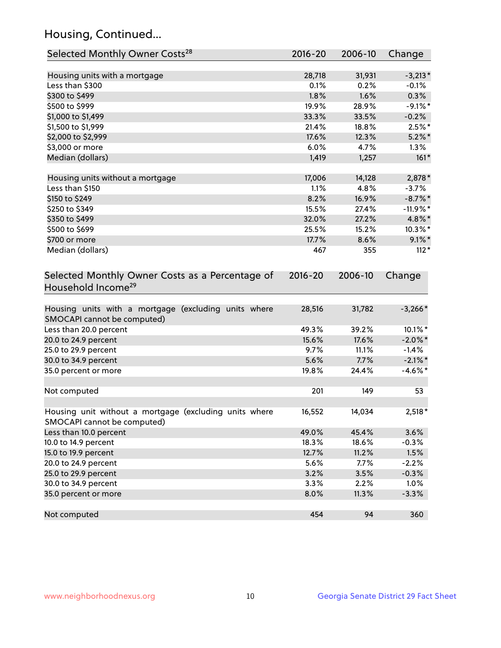## Housing, Continued...

| Selected Monthly Owner Costs <sup>28</sup>                                            | 2016-20 | 2006-10 | Change     |
|---------------------------------------------------------------------------------------|---------|---------|------------|
| Housing units with a mortgage                                                         | 28,718  | 31,931  | $-3,213*$  |
| Less than \$300                                                                       | 0.1%    | 0.2%    | $-0.1%$    |
| \$300 to \$499                                                                        | 1.8%    | 1.6%    | 0.3%       |
| \$500 to \$999                                                                        | 19.9%   | 28.9%   | $-9.1\%$ * |
| \$1,000 to \$1,499                                                                    | 33.3%   | 33.5%   | $-0.2%$    |
| \$1,500 to \$1,999                                                                    | 21.4%   | 18.8%   | $2.5%$ *   |
| \$2,000 to \$2,999                                                                    | 17.6%   | 12.3%   | $5.2\%$ *  |
| \$3,000 or more                                                                       | 6.0%    | 4.7%    | 1.3%       |
| Median (dollars)                                                                      | 1,419   | 1,257   | $161*$     |
| Housing units without a mortgage                                                      | 17,006  | 14,128  | 2,878*     |
| Less than \$150                                                                       | 1.1%    | 4.8%    | $-3.7%$    |
| \$150 to \$249                                                                        | 8.2%    | 16.9%   | $-8.7\%$ * |
| \$250 to \$349                                                                        | 15.5%   | 27.4%   | $-11.9%$ * |
| \$350 to \$499                                                                        | 32.0%   | 27.2%   | 4.8%*      |
| \$500 to \$699                                                                        | 25.5%   | 15.2%   | $10.3\%$ * |
| \$700 or more                                                                         | 17.7%   | 8.6%    | $9.1\%$ *  |
| Median (dollars)                                                                      | 467     | 355     | $112*$     |
| Selected Monthly Owner Costs as a Percentage of<br>Household Income <sup>29</sup>     |         | 2006-10 | Change     |
| Housing units with a mortgage (excluding units where<br>SMOCAPI cannot be computed)   | 28,516  | 31,782  | $-3,266*$  |
| Less than 20.0 percent                                                                | 49.3%   | 39.2%   | 10.1%*     |
| 20.0 to 24.9 percent                                                                  | 15.6%   | 17.6%   | $-2.0\%$ * |
| 25.0 to 29.9 percent                                                                  | 9.7%    | 11.1%   | $-1.4%$    |
| 30.0 to 34.9 percent                                                                  | 5.6%    | 7.7%    | $-2.1\%$ * |
| 35.0 percent or more                                                                  | 19.8%   | 24.4%   | $-4.6\%$ * |
| Not computed                                                                          | 201     | 149     | 53         |
| Housing unit without a mortgage (excluding units where<br>SMOCAPI cannot be computed) | 16,552  | 14,034  | $2,518*$   |
| Less than 10.0 percent                                                                | 49.0%   | 45.4%   | 3.6%       |
| 10.0 to 14.9 percent                                                                  | 18.3%   | 18.6%   | $-0.3%$    |
| 15.0 to 19.9 percent                                                                  | 12.7%   | 11.2%   | 1.5%       |
| 20.0 to 24.9 percent                                                                  | 5.6%    | 7.7%    | $-2.2%$    |
| 25.0 to 29.9 percent                                                                  | 3.2%    | 3.5%    | $-0.3%$    |
| 30.0 to 34.9 percent                                                                  | 3.3%    | 2.2%    | 1.0%       |
| 35.0 percent or more                                                                  | 8.0%    | 11.3%   | $-3.3%$    |
| Not computed                                                                          | 454     | 94      | 360        |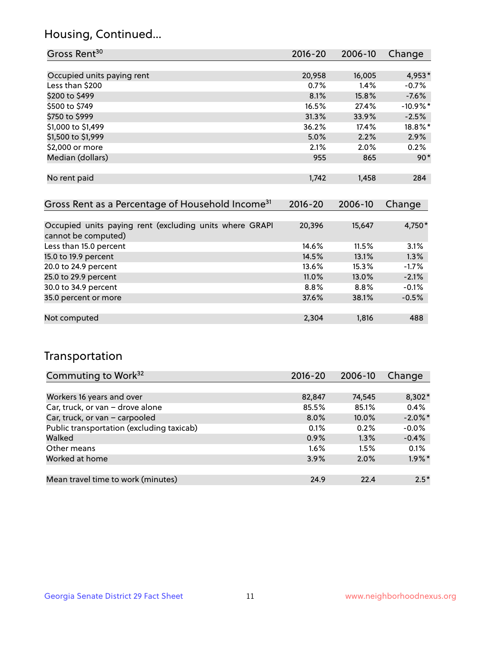### Housing, Continued...

| Gross Rent <sup>30</sup>                                                       | 2016-20     | 2006-10 | Change     |
|--------------------------------------------------------------------------------|-------------|---------|------------|
|                                                                                |             |         |            |
| Occupied units paying rent                                                     | 20,958      | 16,005  | 4,953*     |
| Less than \$200                                                                | 0.7%        | 1.4%    | $-0.7%$    |
| \$200 to \$499                                                                 | 8.1%        | 15.8%   | $-7.6\%$   |
| \$500 to \$749                                                                 | 16.5%       | 27.4%   | $-10.9%$ * |
| \$750 to \$999                                                                 | 31.3%       | 33.9%   | $-2.5%$    |
| \$1,000 to \$1,499                                                             | 36.2%       | 17.4%   | 18.8%*     |
| \$1,500 to \$1,999                                                             | 5.0%        | 2.2%    | $2.9\%$    |
| \$2,000 or more                                                                | 2.1%        | 2.0%    | $0.2\%$    |
| Median (dollars)                                                               | 955         | 865     | $90*$      |
| No rent paid                                                                   | 1,742       | 1,458   | 284        |
| Gross Rent as a Percentage of Household Income <sup>31</sup>                   | $2016 - 20$ | 2006-10 | Change     |
| Occupied units paying rent (excluding units where GRAPI<br>cannot be computed) | 20,396      | 15,647  | 4,750*     |
| Less than 15.0 percent                                                         | 14.6%       | 11.5%   | 3.1%       |
| 15.0 to 19.9 percent                                                           | 14.5%       | 13.1%   | 1.3%       |
| 20.0 to 24.9 percent                                                           | 13.6%       | 15.3%   | $-1.7%$    |
| 25.0 to 29.9 percent                                                           | 11.0%       | 13.0%   | $-2.1%$    |
| 30.0 to 34.9 percent                                                           | 8.8%        | 8.8%    | $-0.1%$    |
| 35.0 percent or more                                                           | 37.6%       | 38.1%   | $-0.5%$    |

| Not computed | 2.304 | 1.816 | 488 |
|--------------|-------|-------|-----|

### Transportation

| Commuting to Work <sup>32</sup>           | $2016 - 20$ | 2006-10 | Change     |
|-------------------------------------------|-------------|---------|------------|
|                                           |             |         |            |
| Workers 16 years and over                 | 82,847      | 74,545  | $8,302*$   |
| Car, truck, or van - drove alone          | 85.5%       | 85.1%   | 0.4%       |
| Car, truck, or van - carpooled            | $8.0\%$     | 10.0%   | $-2.0\%$ * |
| Public transportation (excluding taxicab) | 0.1%        | 0.2%    | $-0.0%$    |
| Walked                                    | 0.9%        | 1.3%    | $-0.4%$    |
| Other means                               | $1.6\%$     | 1.5%    | 0.1%       |
| Worked at home                            | 3.9%        | 2.0%    | $1.9\%$ *  |
|                                           |             |         |            |
| Mean travel time to work (minutes)        | 24.9        | 22.4    | $2.5*$     |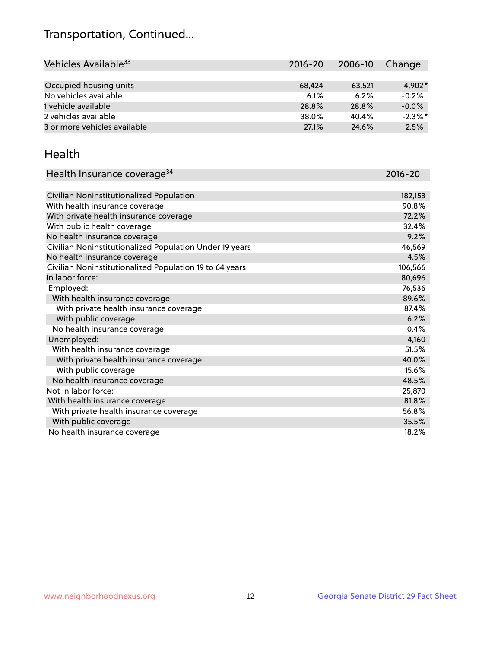## Transportation, Continued...

| Vehicles Available <sup>33</sup> | $2016 - 20$ | 2006-10 | Change     |
|----------------------------------|-------------|---------|------------|
|                                  |             |         |            |
| Occupied housing units           | 68,424      | 63,521  | $4.902*$   |
| No vehicles available            | 6.1%        | 6.2%    | $-0.2%$    |
| 1 vehicle available              | 28.8%       | 28.8%   | $-0.0%$    |
| 2 vehicles available             | 38.0%       | 40.4%   | $-2.3\%$ * |
| 3 or more vehicles available     | 27.1%       | 24.6%   | 2.5%       |

#### Health

| Health Insurance coverage <sup>34</sup>                 | 2016-20 |
|---------------------------------------------------------|---------|
|                                                         |         |
| Civilian Noninstitutionalized Population                | 182,153 |
| With health insurance coverage                          | 90.8%   |
| With private health insurance coverage                  | 72.2%   |
| With public health coverage                             | 32.4%   |
| No health insurance coverage                            | 9.2%    |
| Civilian Noninstitutionalized Population Under 19 years | 46,569  |
| No health insurance coverage                            | 4.5%    |
| Civilian Noninstitutionalized Population 19 to 64 years | 106,566 |
| In labor force:                                         | 80,696  |
| Employed:                                               | 76,536  |
| With health insurance coverage                          | 89.6%   |
| With private health insurance coverage                  | 87.4%   |
| With public coverage                                    | 6.2%    |
| No health insurance coverage                            | 10.4%   |
| Unemployed:                                             | 4,160   |
| With health insurance coverage                          | 51.5%   |
| With private health insurance coverage                  | 40.0%   |
| With public coverage                                    | 15.6%   |
| No health insurance coverage                            | 48.5%   |
| Not in labor force:                                     | 25,870  |
| With health insurance coverage                          | 81.8%   |
| With private health insurance coverage                  | 56.8%   |
| With public coverage                                    | 35.5%   |
| No health insurance coverage                            | 18.2%   |